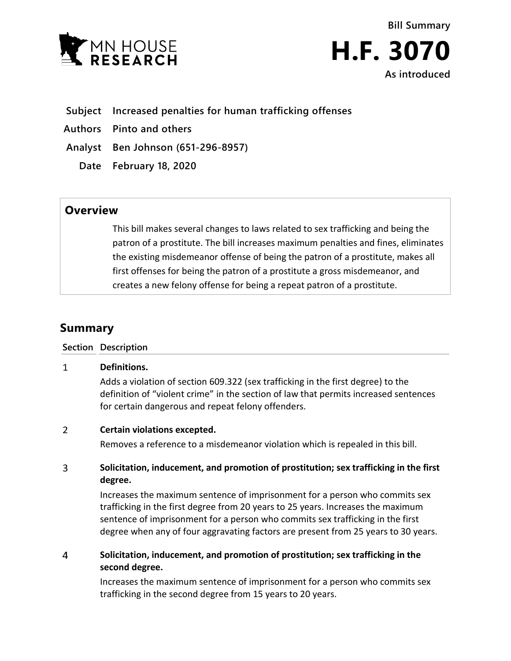



## **Subject Increased penalties for human trafficking offenses**

**Authors Pinto and others**

**Analyst Ben Johnson (651-296-8957)**

**Date February 18, 2020**

# **Overview**

This bill makes several changes to laws related to sex trafficking and being the patron of a prostitute. The bill increases maximum penalties and fines, eliminates the existing misdemeanor offense of being the patron of a prostitute, makes all first offenses for being the patron of a prostitute a gross misdemeanor, and creates a new felony offense for being a repeat patron of a prostitute.

# **Summary**

## **Section Description**

### $\mathbf{1}$ **Definitions.**

Adds a violation of section 609.322 (sex trafficking in the first degree) to the definition of "violent crime" in the section of law that permits increased sentences for certain dangerous and repeat felony offenders.

### $\overline{2}$ **Certain violations excepted.**

Removes a reference to a misdemeanor violation which is repealed in this bill.

### $\overline{3}$ **Solicitation, inducement, and promotion of prostitution; sex trafficking in the first degree.**

Increases the maximum sentence of imprisonment for a person who commits sex trafficking in the first degree from 20 years to 25 years. Increases the maximum sentence of imprisonment for a person who commits sex trafficking in the first degree when any of four aggravating factors are present from 25 years to 30 years.

### $\overline{4}$ **Solicitation, inducement, and promotion of prostitution; sex trafficking in the second degree.**

Increases the maximum sentence of imprisonment for a person who commits sex trafficking in the second degree from 15 years to 20 years.